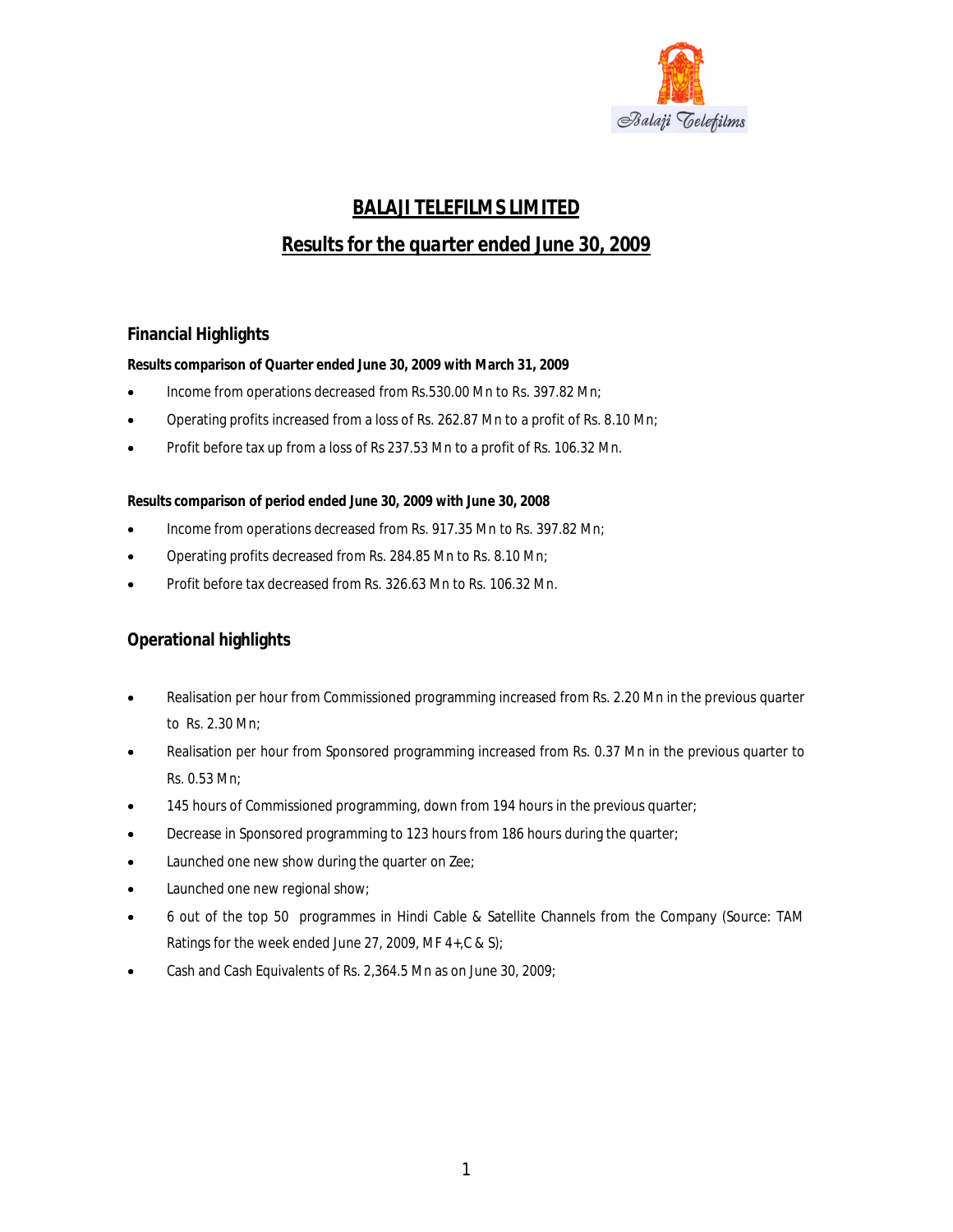

# *BALAJI TELEFILMS LIMITED*

# *Results for the quarter ended June 30, 2009*

# **Financial Highlights**

**Results comparison of Quarter ended June 30, 2009 with March 31, 2009**

- Income from operations decreased from Rs.530.00 Mn to Rs. 397.82 Mn;
- Operating profits increased from a loss of Rs. 262.87 Mn to a profit of Rs. 8.10 Mn;
- Profit before tax up from a loss of Rs 237.53 Mn to a profit of Rs. 106.32 Mn.

**Results comparison of period ended June 30, 2009 with June 30, 2008**

- Income from operations decreased from Rs. 917.35 Mn to Rs. 397.82 Mn;
- Operating profits decreased from Rs. 284.85 Mn to Rs. 8.10 Mn;
- Profit before tax decreased from Rs. 326.63 Mn to Rs. 106.32 Mn.

# **Operational highlights**

- Realisation per hour from Commissioned programming increased from Rs. 2.20 Mn in the previous quarter to Rs. 2.30 Mn;
- Realisation per hour from Sponsored programming increased from Rs. 0.37 Mn in the previous quarter to Rs. 0.53 Mn;
- 145 hours of Commissioned programming, down from 194 hours in the previous quarter;
- Decrease in Sponsored programming to 123 hours from 186 hours during the quarter;
- Launched one new show during the quarter on Zee;
- Launched one new regional show;
- 6 out of the top 50 programmes in Hindi Cable & Satellite Channels from the Company (Source: TAM Ratings for the week ended June 27, 2009, MF 4+,C & S);
- Cash and Cash Equivalents of Rs. 2,364.5 Mn as on June 30, 2009;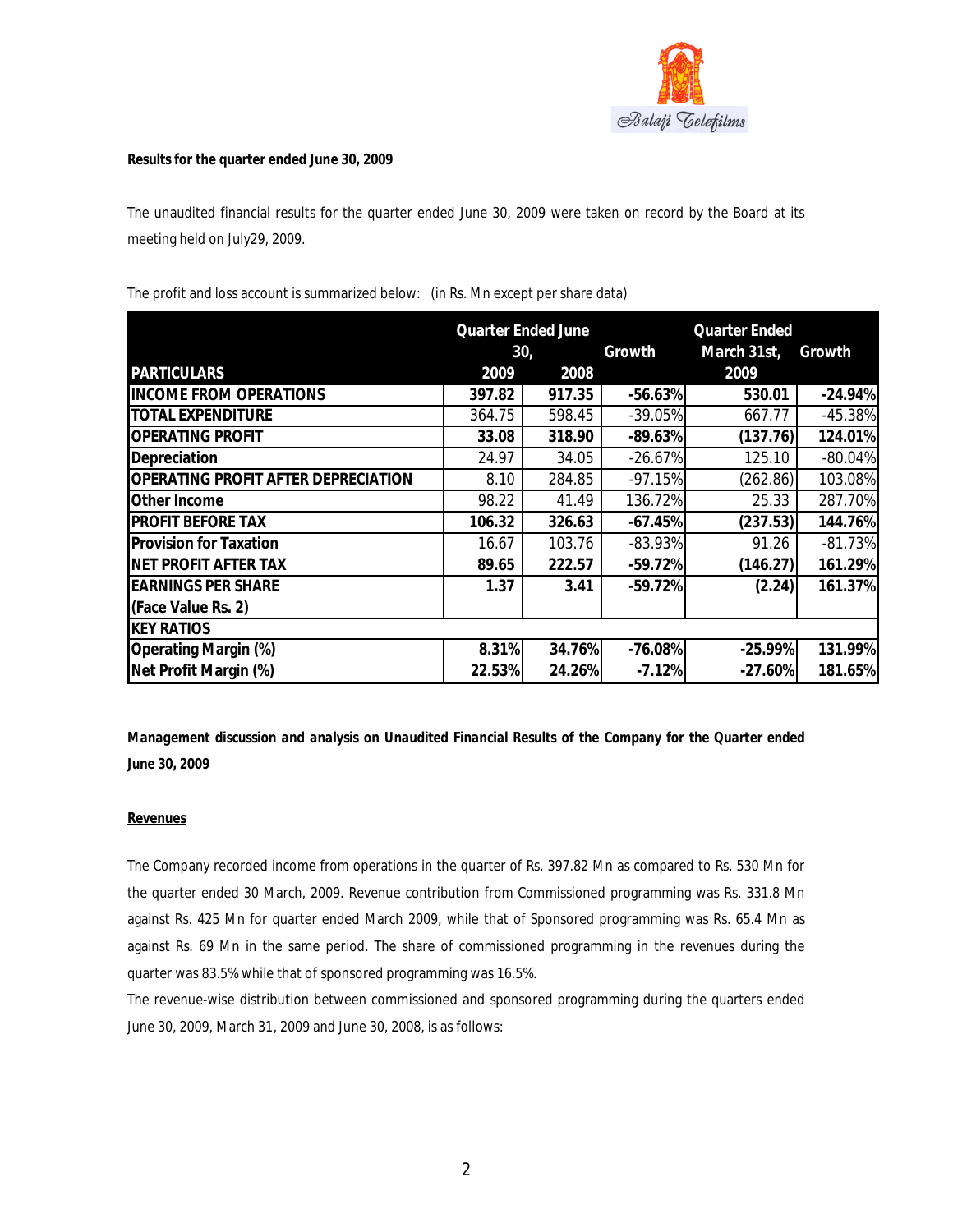

**Results for the quarter ended June 30, 2009**

The unaudited financial results for the quarter ended June 30, 2009 were taken on record by the Board at its meeting held on July29, 2009.

|                                     |        | <b>Quarter Ended June</b> | <b>Quarter Ended</b> |             |           |  |
|-------------------------------------|--------|---------------------------|----------------------|-------------|-----------|--|
|                                     | 30,    |                           | Growth               | March 31st, | Growth    |  |
| <b>PARTICULARS</b>                  | 2009   | 2008                      |                      | 2009        |           |  |
| <b>INCOME FROM OPERATIONS</b>       | 397.82 | 917.35                    | $-56.63%$            | 530.01      | $-24.94%$ |  |
| <b>TOTAL EXPENDITURE</b>            | 364.75 | 598.45                    | $-39.05%$            | 667.77      | $-45.38%$ |  |
| <b>OPERATING PROFIT</b>             | 33.08  | 318.90                    | $-89.63%$            | (137.76)    | 124.01%   |  |
| Depreciation                        | 24.97  | 34.05                     | $-26.67%$            | 125.10      | $-80.04%$ |  |
| OPERATING PROFIT AFTER DEPRECIATION | 8.10   | 284.85                    | $-97.15%$            | (262.86)    | 103.08%   |  |
| Other Income                        | 98.22  | 41.49                     | 136.72%              | 25.33       | 287.70%   |  |
| <b>PROFIT BEFORE TAX</b>            | 106.32 | 326.63                    | $-67.45%$            | (237.53)    | 144.76%   |  |
| <b>Provision for Taxation</b>       | 16.67  | 103.76                    | $-83.93%$            | 91.26       | $-81.73%$ |  |
| NET PROFIT AFTER TAX                | 89.65  | 222.57                    | $-59.72%$            | (146.27)    | 161.29%   |  |
| <b>EARNINGS PER SHARE</b>           | 1.37   | 3.41                      | $-59.72%$            | (2.24)      | 161.37%   |  |
| (Face Value Rs. 2)                  |        |                           |                      |             |           |  |
| <b>KEY RATIOS</b>                   |        |                           |                      |             |           |  |
| Operating Margin (%)                | 8.31%  | 34.76%                    | $-76.08%$            | $-25.99%$   | 131.99%   |  |
| Net Profit Margin (%)               | 22.53% | 24.26%                    | $-7.12%$             | $-27.60%$   | 181.65%   |  |

The profit and loss account is summarized below: (in Rs. Mn except per share data)

*Management discussion and analysis on Unaudited Financial Results of the Company for the Quarter ended June 30, 2009*

# **Revenues**

The Company recorded income from operations in the quarter of Rs. 397.82 Mn as compared to Rs. 530 Mn for the quarter ended 30 March, 2009. Revenue contribution from Commissioned programming was Rs. 331.8 Mn against Rs. 425 Mn for quarter ended March 2009, while that of Sponsored programming was Rs. 65.4 Mn as against Rs. 69 Mn in the same period. The share of commissioned programming in the revenues during the quarter was 83.5% while that of sponsored programming was 16.5%.

The revenue-wise distribution between commissioned and sponsored programming during the quarters ended June 30, 2009, March 31, 2009 and June 30, 2008, is as follows: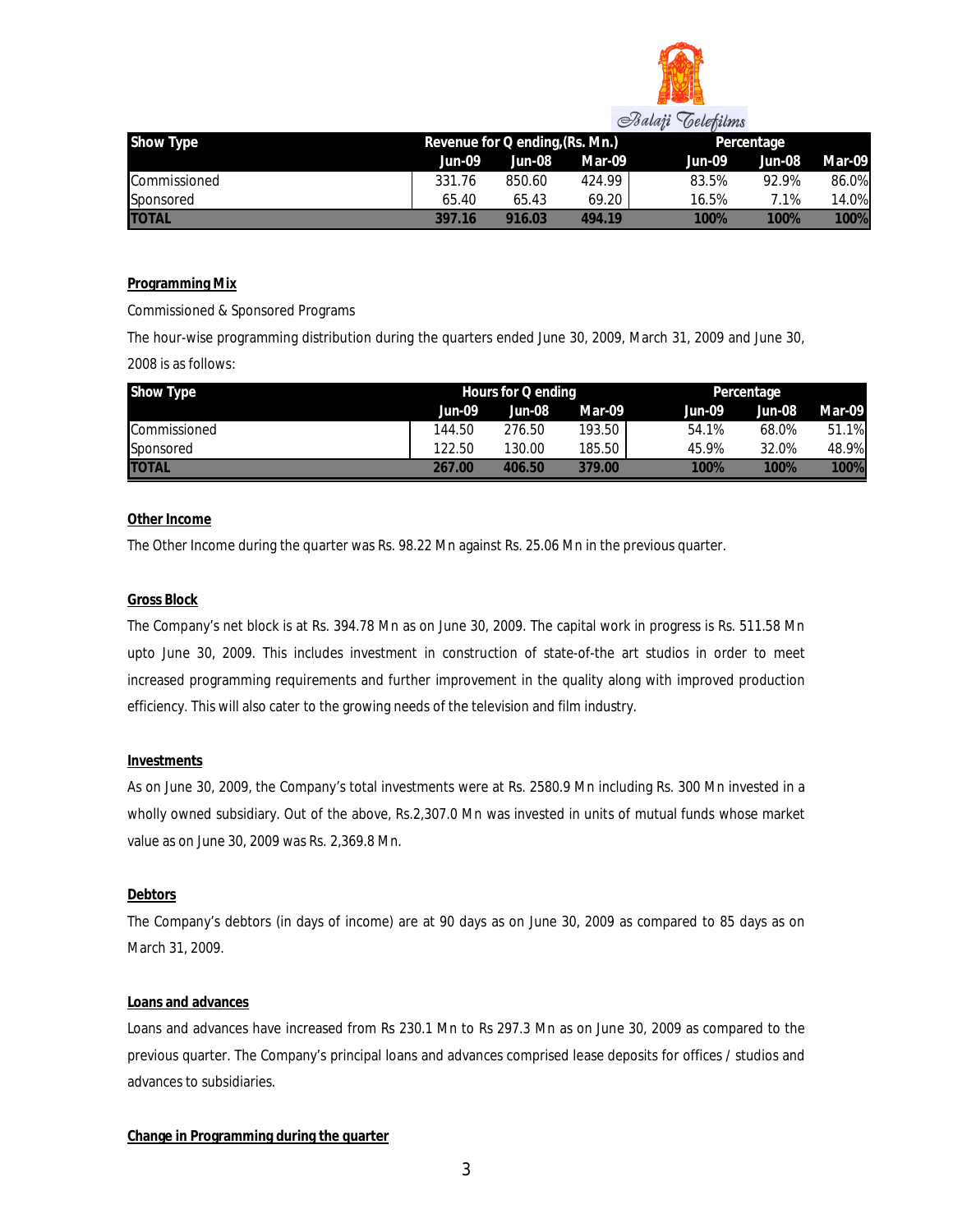

| Show Type    |        | Revenue for Q ending, (Rs. Mn.) |        |        | Percentage |        |  |
|--------------|--------|---------------------------------|--------|--------|------------|--------|--|
|              | Jun-09 | Jun-08                          | Mar-09 | Jun-09 | Jun-08     | Mar-09 |  |
| Commissioned | 331.76 | 850.60                          | 424.99 | 83.5%  | 92.9%      | 86.0%  |  |
| Sponsored    | 65.40  | 65.43                           | 69.20  | 16.5%  | 7.1%       | 14.0%  |  |
| <b>TOTAL</b> | 397.16 | 916.03                          | 494 19 | 100%   | 100%       | 100%   |  |

#### **Programming Mix**

Commissioned & Sponsored Programs

The hour-wise programming distribution during the quarters ended June 30, 2009, March 31, 2009 and June 30, 2008 is as follows:

| Show Type    | Hours for $\overline{Q}$ ending |        |        |        | Percentage |        |  |
|--------------|---------------------------------|--------|--------|--------|------------|--------|--|
|              | Jun-09                          | Jun-08 | Mar-09 | Jun-09 | Jun-08     | Mar-09 |  |
| Commissioned | 144.50                          | 276.50 | 193.50 | 54.1%  | 68.0%      | 51.1%  |  |
| Sponsored    | 122.50                          | 130.00 | 185.50 | 45.9%  | 32.0%      | 48.9%  |  |
| <b>TOTAL</b> | 267.00                          | 406.50 | 379.00 | 100%   | 100%       | 100%   |  |

#### **Other Income**

The Other Income during the quarter was Rs. 98.22 Mn against Rs. 25.06 Mn in the previous quarter.

#### **Gross Block**

The Company's net block is at Rs. 394.78 Mn as on June 30, 2009. The capital work in progress is Rs. 511.58 Mn upto June 30, 2009. This includes investment in construction of state-of-the art studios in order to meet increased programming requirements and further improvement in the quality along with improved production efficiency. This will also cater to the growing needs of the television and film industry.

#### **Investments**

As on June 30, 2009, the Company's total investments were at Rs. 2580.9 Mn including Rs. 300 Mn invested in a wholly owned subsidiary. Out of the above, Rs.2,307.0 Mn was invested in units of mutual funds whose market value as on June 30, 2009 was Rs. 2,369.8 Mn.

# **Debtors**

The Company's debtors (in days of income) are at 90 days as on June 30, 2009 as compared to 85 days as on March 31, 2009.

# **Loans and advances**

Loans and advances have increased from Rs 230.1 Mn to Rs 297.3 Mn as on June 30, 2009 as compared to the previous quarter. The Company's principal loans and advances comprised lease deposits for offices / studios and advances to subsidiaries.

# **Change in Programming during the quarter**